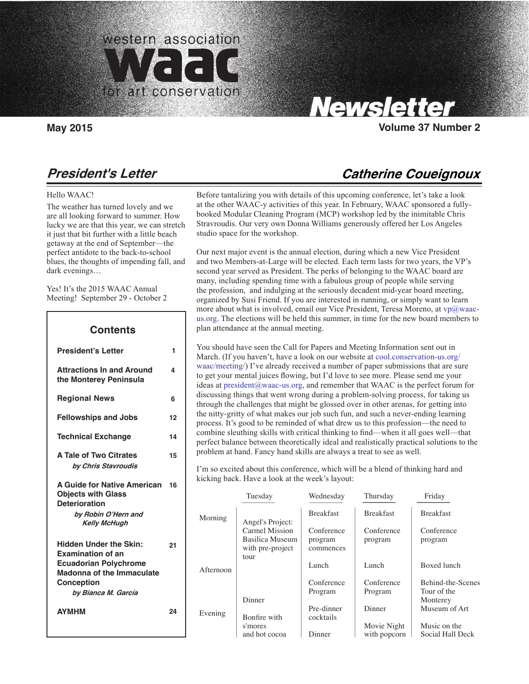

Carolyn Tallent, Editor

 **1**

 **4**

 **6**

 **12**

 **14**

 **15**

 **21**

 **24**

# Newsletter

**May 2015 Volume 37 Number 2**

# **President's Letter**

#### Hello WAAC!

 $\overline{\phantom{a}}$ 

The weather has turned lovely and we are all looking forward to summer. How lucky we are that this year, we can stretch it just that bit further with a little beach getaway at the end of September—the perfect antidote to the back-to-school blues, the thoughts of impending fall, and dark evenings…

Yes! It's the 2015 WAAC Annual Meeting! September 29 - October 2

## **President's Letter Attractions In and Around the Monterey Peninsula Regional News Fellowships and Jobs Technical Exchange A Tale of Two Citrates by Chris Stavroudis A Guide for Native American 16 Objects with Glass Deterioration by Robin O'Hern and Kelly McHugh Hidden Under the Skin: Examination of an Ecuadorian Polychrome Madonna of the Immaculate Conception by Bianca M. García Contents**

**AYMHM**

Before tantalizing you with details of this upcoming conference, let's take a look at the other WAAC-y activities of this year. In February, WAAC sponsored a fullybooked Modular Cleaning Program (MCP) workshop led by the inimitable Chris Stravroudis. Our very own Donna Williams generously offered her Los Angeles studio space for the workshop.

Our next major event is the annual election, during which a new Vice President and two Members-at-Large will be elected. Each term lasts for two years, the VP's second year served as President. The perks of belonging to the WAAC board are many, including spending time with a fabulous group of people while serving the profession, and indulging at the seriously decadent mid-year board meeting, organized by Susi Friend. If you are interested in running, or simply want to learn more about what is involved, email our Vice President, Teresa Moreno, at  $vp@$ waacus.org. The elections will be held this summer, in time for the new board members to plan attendance at the annual meeting.

You should have seen the Call for Papers and Meeting Information sent out in March. (If you haven't, have a look on our website at cool.conservation-us.org/ waac/meeting/) I've already received a number of paper submissions that are sure to get your mental juices flowing, but I'd love to see more. Please send me your ideas at president@waac-us.org, and remember that WAAC is the perfect forum for discussing things that went wrong during a problem-solving process, for taking us through the challenges that might be glossed over in other arenas, for getting into the nitty-gritty of what makes our job such fun, and such a never-ending learning process. It's good to be reminded of what drew us to this profession—the need to combine sleuthing skills with critical thinking to find—when it all goes well—that perfect balance between theoretically ideal and realistically practical solutions to the problem at hand. Fancy hand skills are always a treat to see as well.

I'm so excited about this conference, which will be a blend of thinking hard and kicking back. Have a look at the week's layout:

|           | Tuesday                                                       | Wednesday                          | Thursday                    | Friday                           |
|-----------|---------------------------------------------------------------|------------------------------------|-----------------------------|----------------------------------|
| Morning   | Angel's Project:                                              | <b>Breakfast</b>                   | <b>Breakfast</b>            | <b>Breakfast</b>                 |
|           | Carmel Mission<br>Basilica Museum<br>with pre-project<br>tour | Conference<br>program<br>commences | Conference<br>program       | Conference<br>program            |
| Afternoon |                                                               | Lunch                              | Lunch                       | Boxed lunch                      |
|           |                                                               | Conference<br>Program              | Conference<br>Program       | Behind-the-Scenes<br>Tour of the |
| Evening   | Dinner<br>Bonfire with                                        | Pre-dinner<br>cocktails            | Dinner                      | Monterey<br>Museum of Art        |
|           | s'mores<br>and hot cocoa                                      | Dinner                             | Movie Night<br>with popcorn | Music on the<br>Social Hall Deck |

# **Catherine Coueignoux**